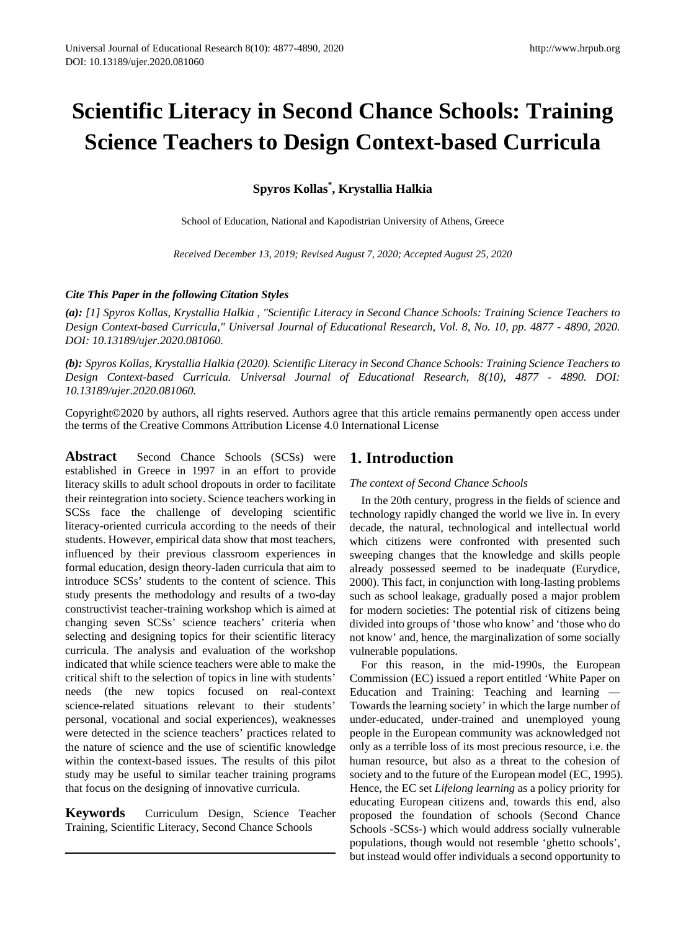# **Scientific Literacy in Second Chance Schools: Training Science Teachers to Design Context-based Curricula**

**Spyros Kollas\* , Krystallia Halkia**

School of Education, National and Kapodistrian University of Athens, Greece

*Received December 13, 2019; Revised August 7, 2020; Accepted August 25, 2020*

# *Cite This Paper in the following Citation Styles*

*(a): [1] Spyros Kollas, Krystallia Halkia , "Scientific Literacy in Second Chance Schools: Training Science Teachers to Design Context-based Curricula," Universal Journal of Educational Research, Vol. 8, No. 10, pp. 4877 - 4890, 2020. DOI: 10.13189/ujer.2020.081060.* 

(b): Spyros Kollas, Krystallia Halkia (2020). Scientific Literacy in Second Chance Schools: Training Science Teachers to *Design Context-based Curricula. Universal Journal of Educational Research, 8(10), 4877 - 4890. DOI: 10.13189/ujer.2020.081060.* 

Copyright©2020 by authors, all rights reserved. Authors agree that this article remains permanently open access under the terms of the Creative Commons Attribution License 4.0 International License

Abstract Second Chance Schools (SCSs) were established in Greece in 1997 in an effort to provide literacy skills to adult school dropouts in order to facilitate their reintegration into society. Science teachers working in SCSs face the challenge of developing scientific literacy-oriented curricula according to the needs of their students. However, empirical data show that most teachers, influenced by their previous classroom experiences in formal education, design theory-laden curricula that aim to introduce SCSs' students to the content of science. This study presents the methodology and results of a two-day constructivist teacher-training workshop which is aimed at changing seven SCSs' science teachers' criteria when selecting and designing topics for their scientific literacy curricula. The analysis and evaluation of the workshop indicated that while science teachers were able to make the critical shift to the selection of topics in line with students' needs (the new topics focused on real-context science-related situations relevant to their students' personal, vocational and social experiences), weaknesses were detected in the science teachers' practices related to the nature of science and the use of scientific knowledge within the context-based issues. The results of this pilot study may be useful to similar teacher training programs that focus on the designing of innovative curricula.

**Keywords** Curriculum Design, Science Teacher Training, Scientific Literacy, Second Chance Schools

# **1. Introduction**

*The context of Second Chance Schools*

In the 20th century, progress in the fields of science and technology rapidly changed the world we live in. In every decade, the natural, technological and intellectual world which citizens were confronted with presented such sweeping changes that the knowledge and skills people already possessed seemed to be inadequate (Eurydice, 2000). This fact, in conjunction with long-lasting problems such as school leakage, gradually posed a major problem for modern societies: The potential risk of citizens being divided into groups of 'those who know' and 'those who do not know' and, hence, the marginalization of some socially vulnerable populations.

For this reason, in the mid-1990s, the European Commission (EC) issued a report entitled 'White Paper on Education and Training: Teaching and learning — Towards the learning society' in which the large number of under-educated, under-trained and unemployed young people in the European community was acknowledged not only as a terrible loss of its most precious resource, i.e. the human resource, but also as a threat to the cohesion of society and to the future of the European model (EC, 1995). Hence, the EC set *Lifelong learning* as a policy priority for educating European citizens and, towards this end, also proposed the foundation of schools (Second Chance Schools -SCSs-) which would address socially vulnerable populations, though would not resemble 'ghetto schools', but instead would offer individuals a second opportunity to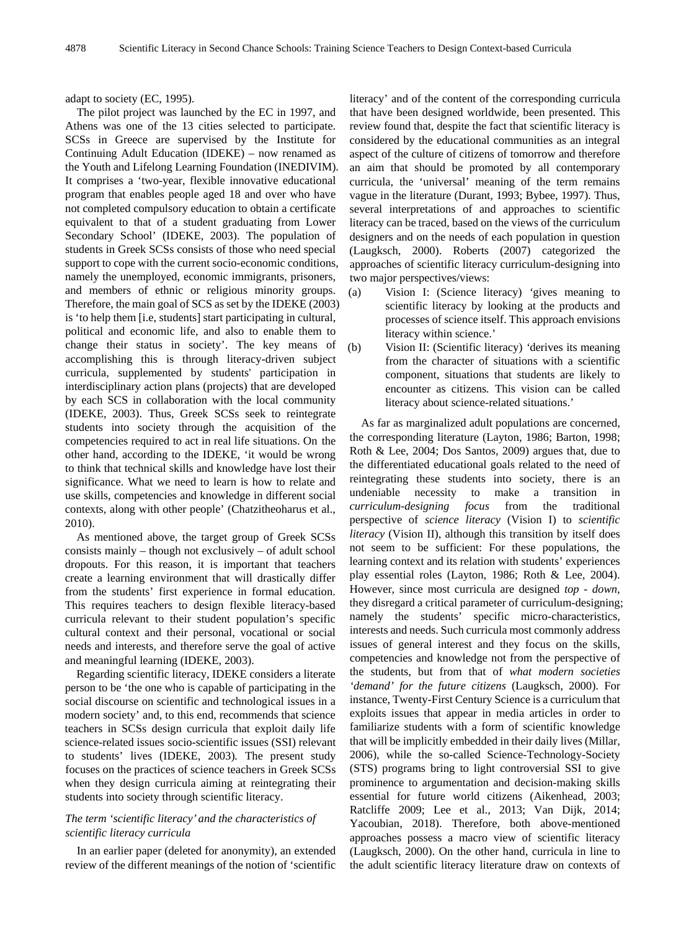adapt to society (EC, 1995).

The pilot project was launched by the EC in 1997, and Athens was one of the 13 cities selected to participate. SCSs in Greece are supervised by the Institute for Continuing Adult Education (IDEKE) – now renamed as the Youth and Lifelong Learning Foundation (INEDIVIM). It comprises a 'two-year, flexible innovative educational program that enables people aged 18 and over who have not completed compulsory education to obtain a certificate equivalent to that of a student graduating from Lower Secondary School' (IDEKE, 2003). The population of students in Greek SCSs consists of those who need special support to cope with the current socio-economic conditions, namely the unemployed, economic immigrants, prisoners, and members of ethnic or religious minority groups. Therefore, the main goal of SCS as set by the IDEKE (2003) is 'to help them [i.e, students] start participating in cultural, political and economic life, and also to enable them to change their status in society'. The key means of accomplishing this is through literacy-driven subject curricula, supplemented by students' participation in interdisciplinary action plans (projects) that are developed by each SCS in collaboration with the local community (IDEKE, 2003). Thus, Greek SCSs seek to reintegrate students into society through the acquisition of the competencies required to act in real life situations. On the other hand, according to the IDEKE, 'it would be wrong to think that technical skills and knowledge have lost their significance. What we need to learn is how to relate and use skills, competencies and knowledge in different social contexts, along with other people' (Chatzitheoharus et al., 2010).

As mentioned above, the target group of Greek SCSs consists mainly – though not exclusively – of adult school dropouts. For this reason, it is important that teachers create a learning environment that will drastically differ from the students' first experience in formal education. This requires teachers to design flexible literacy-based curricula relevant to their student population's specific cultural context and their personal, vocational or social needs and interests, and therefore serve the goal of active and meaningful learning (IDEKE, 2003).

Regarding scientific literacy, IDEKE considers a literate person to be 'the one who is capable of participating in the social discourse on scientific and technological issues in a modern society' and, to this end, recommends that science teachers in SCSs design curricula that exploit daily life science-related issues socio-scientific issues (SSI) relevant to students' lives (IDEKE, 2003)*.* The present study focuses on the practices of science teachers in Greek SCSs when they design curricula aiming at reintegrating their students into society through scientific literacy.

#### *The term 'scientific literacy' and the characteristics of scientific literacy curricula*

In an earlier paper (deleted for anonymity), an extended review of the different meanings of the notion of 'scientific literacy' and of the content of the corresponding curricula that have been designed worldwide, been presented. This review found that, despite the fact that scientific literacy is considered by the educational communities as an integral aspect of the culture of citizens of tomorrow and therefore an aim that should be promoted by all contemporary curricula, the 'universal' meaning of the term remains vague in the literature (Durant, 1993; Bybee, 1997). Thus, several interpretations of and approaches to scientific literacy can be traced, based on the views of the curriculum designers and on the needs of each population in question (Laugksch, 2000). Roberts (2007) categorized the approaches of scientific literacy curriculum-designing into two major perspectives/views:

- (a) Vision I: (Science literacy) *'*gives meaning to scientific literacy by looking at the products and processes of science itself. This approach envisions literacy within science.'
- (b) Vision II: (Scientific literacy) *'*derives its meaning from the character of situations with a scientific component, situations that students are likely to encounter as citizens*.* This vision can be called literacy about science-related situations.'

As far as marginalized adult populations are concerned, the corresponding literature (Layton, 1986; Barton, 1998; Roth & Lee, 2004; Dos Santos, 2009) argues that, due to the differentiated educational goals related to the need of reintegrating these students into society, there is an undeniable necessity to make a transition in *curriculum-designing focus* from the traditional perspective of *science literacy* (Vision I) to *scientific literacy* (Vision II), although this transition by itself does not seem to be sufficient: For these populations, the learning context and its relation with students' experiences play essential roles (Layton, 1986; Roth & Lee, 2004). However, since most curricula are designed *top - down*, they disregard a critical parameter of curriculum-designing; namely the students' specific micro-characteristics, interests and needs. Such curricula most commonly address issues of general interest and they focus on the skills, competencies and knowledge not from the perspective of the students, but from that of *what modern societies 'demand' for the future citizens* (Laugksch, 2000). For instance, Twenty-First Century Science is a curriculum that exploits issues that appear in media articles in order to familiarize students with a form of scientific knowledge that will be implicitly embedded in their daily lives (Millar, 2006), while the so-called Science-Technology-Society (STS) programs bring to light controversial SSI to give prominence to argumentation and decision-making skills essential for future world citizens (Aikenhead, 2003; Ratcliffe 2009; Lee et al., 2013; Van Dijk, 2014; Yacoubian, 2018). Therefore, both above-mentioned approaches possess a macro view of scientific literacy (Laugksch, 2000). On the other hand, curricula in line to the adult scientific literacy literature draw on contexts of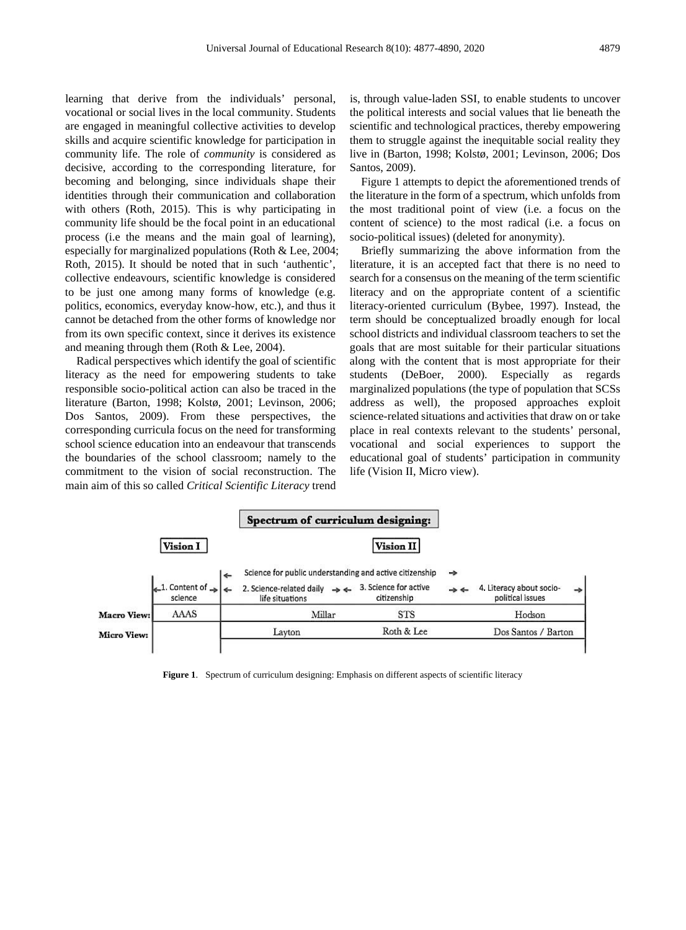learning that derive from the individuals' personal, vocational or social lives in the local community. Students are engaged in meaningful collective activities to develop skills and acquire scientific knowledge for participation in community life. Τhe role of *community* is considered as decisive, according to the corresponding literature, for becoming and belonging, since individuals shape their identities through their communication and collaboration with others (Roth, 2015). This is why participating in community life should be the focal point in an educational process (i.e the means and the main goal of learning), especially for marginalized populations (Roth & Lee, 2004; Roth, 2015). It should be noted that in such 'authentic', collective endeavours, scientific knowledge is considered to be just one among many forms of knowledge (e.g. politics, economics, everyday know-how, etc.), and thus it cannot be detached from the other forms of knowledge nor from its own specific context, since it derives its existence and meaning through them (Roth & Lee, 2004).

Radical perspectives which identify the goal of scientific literacy as the need for empowering students to take responsible socio-political action can also be traced in the literature (Barton, 1998; Kolstø, 2001; Levinson, 2006; Dos Santos, 2009). From these perspectives, the corresponding curricula focus on the need for transforming school science education into an endeavour that transcends the boundaries of the school classroom; namely to the commitment to the vision of social reconstruction. The main aim of this so called *Critical Scientific Literacy* trend

is, through value-laden SSI, to enable students to uncover the political interests and social values that lie beneath the scientific and technological practices, thereby empowering them to struggle against the inequitable social reality they live in (Barton, 1998; Kolstø, 2001; Levinson, 2006; Dos Santos, 2009).

Figure 1 attempts to depict the aforementioned trends of the literature in the form of a spectrum, which unfolds from the most traditional point of view (i.e. a focus on the content of science) to the most radical (i.e. a focus on socio-political issues) (deleted for anonymity).

Briefly summarizing the above information from the literature, it is an accepted fact that there is no need to search for a consensus on the meaning of the term scientific literacy and on the appropriate content of a scientific literacy-oriented curriculum (Bybee, 1997). Instead, the term should be conceptualized broadly enough for local school districts and individual classroom teachers to set the goals that are most suitable for their particular situations along with the content that is most appropriate for their students (DeBoer, 2000). Especially as regards marginalized populations (the type of population that SCSs address as well), the proposed approaches exploit science-related situations and activities that draw on or take place in real contexts relevant to the students' personal, vocational and social experiences to support the educational goal of students' participation in community life (Vision II, Micro view).



**Figure 1**. Spectrum of curriculum designing: Emphasis on different aspects of scientific literacy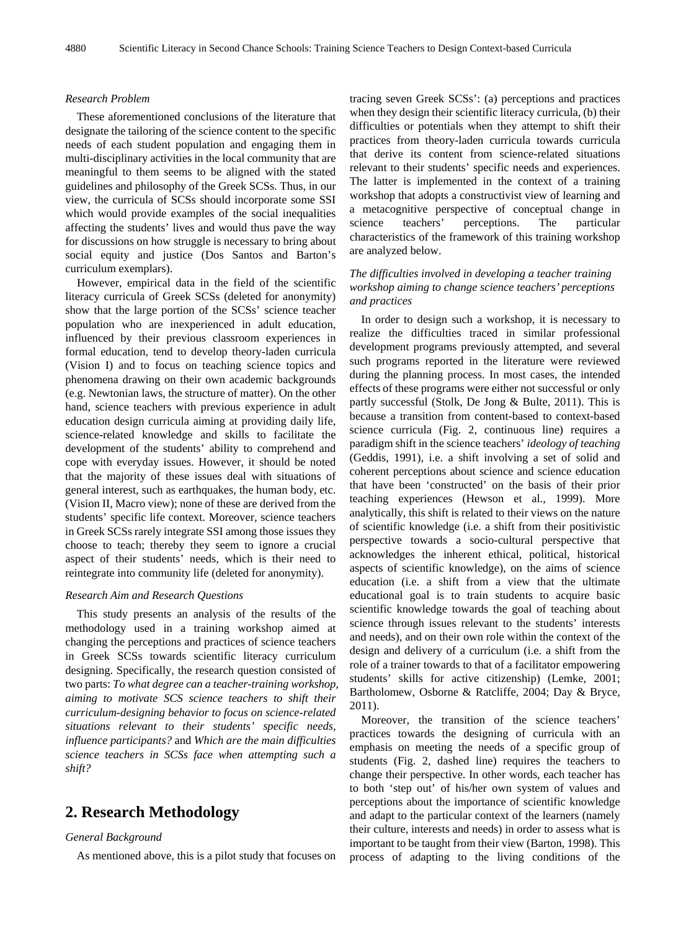#### *Research Problem*

These aforementioned conclusions of the literature that designate the tailoring of the science content to the specific needs of each student population and engaging them in multi-disciplinary activities in the local community that are meaningful to them seems to be aligned with the stated guidelines and philosophy of the Greek SCSs. Thus, in our view, the curricula of SCSs should incorporate some SSI which would provide examples of the social inequalities affecting the students' lives and would thus pave the way for discussions on how struggle is necessary to bring about social equity and justice (Dos Santos and Barton's curriculum exemplars).

However, empirical data in the field of the scientific literacy curricula of Greek SCSs (deleted for anonymity) show that the large portion of the SCSs' science teacher population who are inexperienced in adult education, influenced by their previous classroom experiences in formal education, tend to develop theory-laden curricula (Vision I) and to focus on teaching science topics and phenomena drawing on their own academic backgrounds (e.g. Newtonian laws, the structure of matter). On the other hand, science teachers with previous experience in adult education design curricula aiming at providing daily life, science-related knowledge and skills to facilitate the development of the students' ability to comprehend and cope with everyday issues. However, it should be noted that the majority of these issues deal with situations of general interest, such as earthquakes, the human body, etc. (Vision II, Macro view); none of these are derived from the students' specific life context. Moreover, science teachers in Greek SCSs rarely integrate SSI among those issues they choose to teach; thereby they seem to ignore a crucial aspect of their students' needs, which is their need to reintegrate into community life (deleted for anonymity).

#### *Research Aim and Research Questions*

This study presents an analysis of the results of the methodology used in a training workshop aimed at changing the perceptions and practices of science teachers in Greek SCSs towards scientific literacy curriculum designing. Specifically, the research question consisted of two parts: *To what degree can a teacher-training workshop, aiming to motivate SCS science teachers to shift their curriculum-designing behavior to focus on science-related situations relevant to their students' specific needs, influence participants?* and *Which are the main difficulties science teachers in SCSs face when attempting such a shift?*

# **2. Research Methodology**

#### *General Background*

As mentioned above, this is a pilot study that focuses on

tracing seven Greek SCSs': (a) perceptions and practices when they design their scientific literacy curricula, (b) their difficulties or potentials when they attempt to shift their practices from theory-laden curricula towards curricula that derive its content from science-related situations relevant to their students' specific needs and experiences. The latter is implemented in the context of a training workshop that adopts a constructivist view of learning and a metacognitive perspective of conceptual change in science teachers' perceptions. The particular characteristics of the framework of this training workshop are analyzed below.

# *The difficulties involved in developing a teacher training workshop aiming to change science teachers' perceptions and practices*

In order to design such a workshop, it is necessary to realize the difficulties traced in similar professional development programs previously attempted, and several such programs reported in the literature were reviewed during the planning process. In most cases, the intended effects of these programs were either not successful or only partly successful (Stolk, De Jong & Bulte, 2011). This is because a transition from content-based to context-based science curricula (Fig. 2, continuous line) requires a paradigm shift in the science teachers' *ideology of teaching* (Geddis, 1991), i.e. a shift involving a set of solid and coherent perceptions about science and science education that have been 'constructed' on the basis of their prior teaching experiences (Hewson et al., 1999). More analytically, this shift is related to their views on the nature of scientific knowledge (i.e. a shift from their positivistic perspective towards a socio-cultural perspective that acknowledges the inherent ethical, political, historical aspects of scientific knowledge), on the aims of science education (i.e. a shift from a view that the ultimate educational goal is to train students to acquire basic scientific knowledge towards the goal of teaching about science through issues relevant to the students' interests and needs), and on their own role within the context of the design and delivery of a curriculum (i.e. a shift from the role of a trainer towards to that of a facilitator empowering students' skills for active citizenship) (Lemke, 2001; Bartholomew, Osborne & Ratcliffe, 2004; Day & Bryce, 2011).

Moreover, the transition of the science teachers' practices towards the designing of curricula with an emphasis on meeting the needs of a specific group of students (Fig. 2, dashed line) requires the teachers to change their perspective. In other words, each teacher has to both 'step out' of his/her own system of values and perceptions about the importance of scientific knowledge and adapt to the particular context of the learners (namely their culture, interests and needs) in order to assess what is important to be taught from their view (Barton, 1998). This process of adapting to the living conditions of the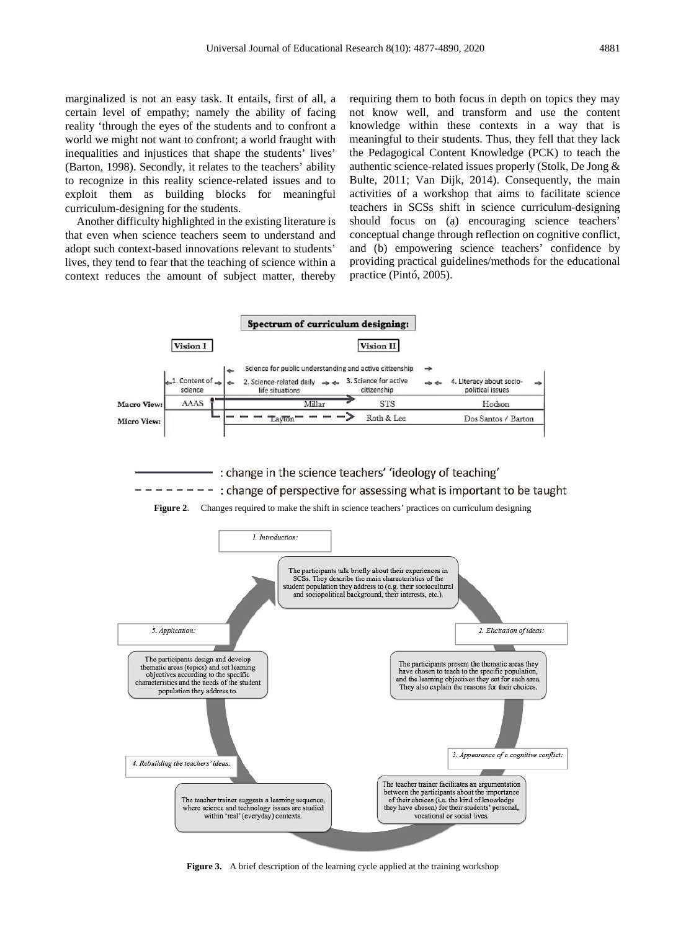marginalized is not an easy task. It entails, first of all, a certain level of empathy; namely the ability of facing reality 'through the eyes of the students and to confront a world we might not want to confront; a world fraught with inequalities and injustices that shape the students' lives' (Barton, 1998). Secondly, it relates to the teachers' ability to recognize in this reality science-related issues and to exploit them as building blocks for meaningful curriculum-designing for the students.

Another difficulty highlighted in the existing literature is that even when science teachers seem to understand and adopt such context-based innovations relevant to students' lives, they tend to fear that the teaching of science within a context reduces the amount of subject matter, thereby

requiring them to both focus in depth on topics they may not know well, and transform and use the content knowledge within these contexts in a way that is meaningful to their students. Thus, they fell that they lack the Pedagogical Content Knowledge (PCK) to teach the authentic science-related issues properly (Stolk, De Jong & Bulte, 2011; Van Dijk, 2014). Consequently, the main activities of a workshop that aims to facilitate science teachers in SCSs shift in science curriculum-designing should focus on (a) encouraging science teachers' conceptual change through reflection on cognitive conflict, and (b) empowering science teachers' confidence by providing practical guidelines/methods for the educational practice (Pintó, 2005).



: change in the science teachers' 'ideology of teaching'  $------$ : change of perspective for assessing what is important to be taught





**Figure 3.** A brief description of the learning cycle applied at the training workshop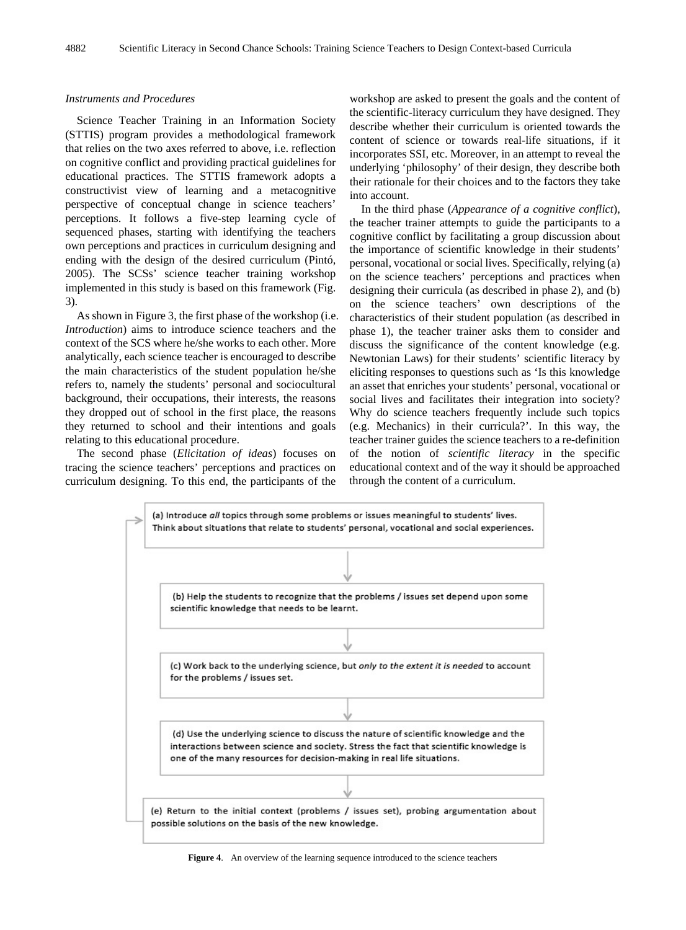#### *Instruments and Procedures*

Science Teacher Training in an Information Society (STTIS) program provides a methodological framework that relies on the two axes referred to above, i.e. reflection on cognitive conflict and providing practical guidelines for educational practices. The STTIS framework adopts a constructivist view of learning and a metacognitive perspective of conceptual change in science teachers' perceptions. It follows a five-step learning cycle of sequenced phases, starting with identifying the teachers own perceptions and practices in curriculum designing and ending with the design of the desired curriculum (Pintó, 2005). The SCSs' science teacher training workshop implemented in this study is based on this framework (Fig. 3).

As shown in Figure 3, the first phase of the workshop (i.e. *Introduction*) aims to introduce science teachers and the context of the SCS where he/she works to each other. More analytically, each science teacher is encouraged to describe the main characteristics of the student population he/she refers to, namely the students' personal and sociocultural background, their occupations, their interests, the reasons they dropped out of school in the first place, the reasons they returned to school and their intentions and goals relating to this educational procedure.

The second phase (*Elicitation of ideas*) focuses on tracing the science teachers' perceptions and practices on curriculum designing. To this end, the participants of the

workshop are asked to present the goals and the content of the scientific-literacy curriculum they have designed. They describe whether their curriculum is oriented towards the content of science or towards real-life situations, if it incorporates SSI, etc. Moreover, in an attempt to reveal the underlying 'philosophy' of their design, they describe both their rationale for their choices and to the factors they take into account.

In the third phase (*Appearance of a cognitive conflict*), the teacher trainer attempts to guide the participants to a cognitive conflict by facilitating a group discussion about the importance of scientific knowledge in their students' personal, vocational or social lives. Specifically, relying (a) on the science teachers' perceptions and practices when designing their curricula (as described in phase 2), and (b) on the science teachers' own descriptions of the characteristics of their student population (as described in phase 1), the teacher trainer asks them to consider and discuss the significance of the content knowledge (e.g. Newtonian Laws) for their students' scientific literacy by eliciting responses to questions such as 'Is this knowledge an asset that enriches your students' personal, vocational or social lives and facilitates their integration into society? Why do science teachers frequently include such topics (e.g. Mechanics) in their curricula?'. In this way, the teacher trainer guides the science teachers to a re-definition of the notion of *scientific literacy* in the specific educational context and of the way it should be approached through the content of a curriculum.



**Figure 4**. An overview of the learning sequence introduced to the science teachers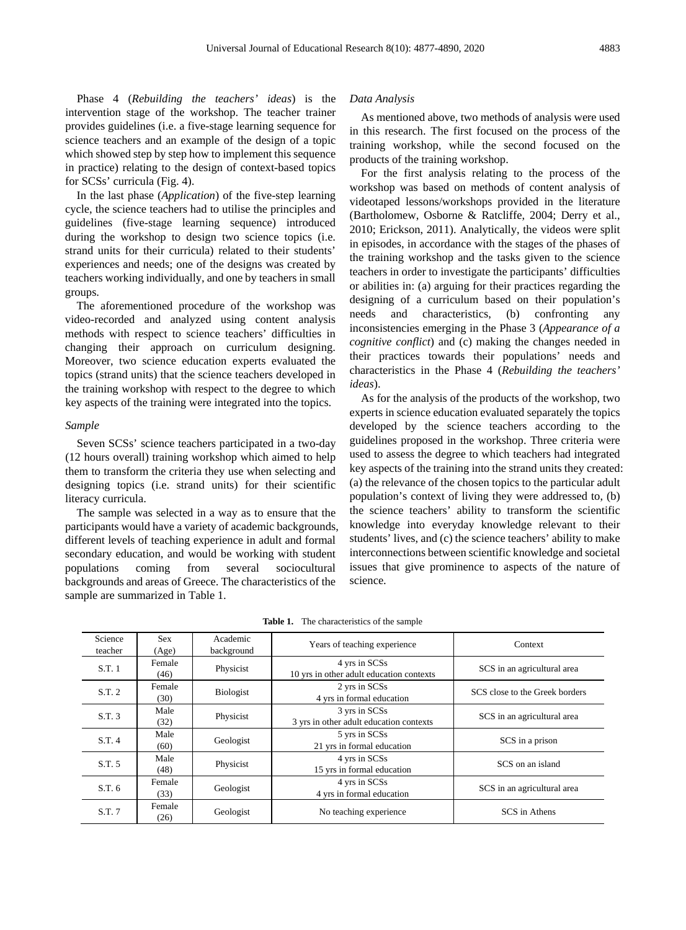Phase 4 (*Rebuilding the teachers' ideas*) is the intervention stage of the workshop. The teacher trainer provides guidelines (i.e. a five-stage learning sequence for science teachers and an example of the design of a topic which showed step by step how to implement this sequence in practice) relating to the design of context-based topics for SCSs' curricula (Fig. 4).

In the last phase (*Application*) of the five-step learning cycle, the science teachers had to utilise the principles and guidelines (five-stage learning sequence) introduced during the workshop to design two science topics (i.e. strand units for their curricula) related to their students' experiences and needs; one of the designs was created by teachers working individually, and one by teachers in small groups.

The aforementioned procedure of the workshop was video-recorded and analyzed using content analysis methods with respect to science teachers' difficulties in changing their approach on curriculum designing. Moreover, two science education experts evaluated the topics (strand units) that the science teachers developed in the training workshop with respect to the degree to which key aspects of the training were integrated into the topics.

#### *Sample*

Seven SCSs' science teachers participated in a two-day (12 hours overall) training workshop which aimed to help them to transform the criteria they use when selecting and designing topics (i.e. strand units) for their scientific literacy curricula.

The sample was selected in a way as to ensure that the participants would have a variety of academic backgrounds, different levels of teaching experience in adult and formal secondary education, and would be working with student populations coming from several sociocultural backgrounds and areas of Greece. The characteristics of the sample are summarized in Table 1.

#### *Data Analysis*

As mentioned above, two methods of analysis were used in this research. The first focused on the process of the training workshop, while the second focused on the products of the training workshop.

For the first analysis relating to the process of the workshop was based on methods of content analysis of videotaped lessons/workshops provided in the literature (Bartholomew, Osborne & Ratcliffe, 2004; Derry et al., 2010; Erickson, 2011). Analytically, the videos were split in episodes, in accordance with the stages of the phases of the training workshop and the tasks given to the science teachers in order to investigate the participants' difficulties or abilities in: (a) arguing for their practices regarding the designing of a curriculum based on their population's needs and characteristics, (b) confronting any inconsistencies emerging in the Phase 3 (*Appearance of a cognitive conflict*) and (c) making the changes needed in their practices towards their populations' needs and characteristics in the Phase 4 (*Rebuilding the teachers' ideas*).

As for the analysis of the products of the workshop, two experts in science education evaluated separately the topics developed by the science teachers according to the guidelines proposed in the workshop. Three criteria were used to assess the degree to which teachers had integrated key aspects of the training into the strand units they created: (a) the relevance of the chosen topics to the particular adult population's context of living they were addressed to, (b) the science teachers' ability to transform the scientific knowledge into everyday knowledge relevant to their students' lives, and (c) the science teachers' ability to make interconnections between scientific knowledge and societal issues that give prominence to aspects of the nature of science.

| teacher<br>background<br>(Age)<br>4 yrs in SCSs<br>Female<br>S.T. 1<br>Physicist<br>SCS in an agricultural area<br>10 yrs in other adult education contexts<br>(46)<br>2 yrs in SCSs<br>Female | Science | <b>Sex</b> | Academic         | Years of teaching experience | Context                        |
|------------------------------------------------------------------------------------------------------------------------------------------------------------------------------------------------|---------|------------|------------------|------------------------------|--------------------------------|
|                                                                                                                                                                                                |         |            |                  |                              |                                |
|                                                                                                                                                                                                |         |            |                  |                              |                                |
|                                                                                                                                                                                                |         |            |                  |                              |                                |
|                                                                                                                                                                                                | S.T. 2  |            | <b>Biologist</b> |                              | SCS close to the Greek borders |
| 4 yrs in formal education<br>(30)                                                                                                                                                              |         |            |                  |                              |                                |
| 3 yrs in SCSs<br>Male<br>SCS in an agricultural area                                                                                                                                           | S.T. 3  |            | Physicist        |                              |                                |
| 3 yrs in other adult education contexts<br>(32)                                                                                                                                                |         |            |                  |                              |                                |
| Male<br>5 yrs in SCSs                                                                                                                                                                          | S.T. 4  |            | Geologist        |                              |                                |
| SCS in a prison<br>21 yrs in formal education<br>(60)                                                                                                                                          |         |            |                  |                              |                                |
| 4 yrs in SCSs<br>Male<br>SCS on an island                                                                                                                                                      | S.T. 5  |            | Physicist        |                              |                                |
| 15 yrs in formal education<br>(48)                                                                                                                                                             |         |            |                  |                              |                                |
| 4 yrs in SCSs<br>Female                                                                                                                                                                        | S.T. 6  |            | Geologist        |                              |                                |
| 4 yrs in formal education<br>(33)                                                                                                                                                              |         |            |                  |                              | SCS in an agricultural area    |
| Female                                                                                                                                                                                         | S.T. 7  |            | Geologist        | No teaching experience       | SCS in Athens                  |
| (26)                                                                                                                                                                                           |         |            |                  |                              |                                |

**Table 1.** The characteristics of the sample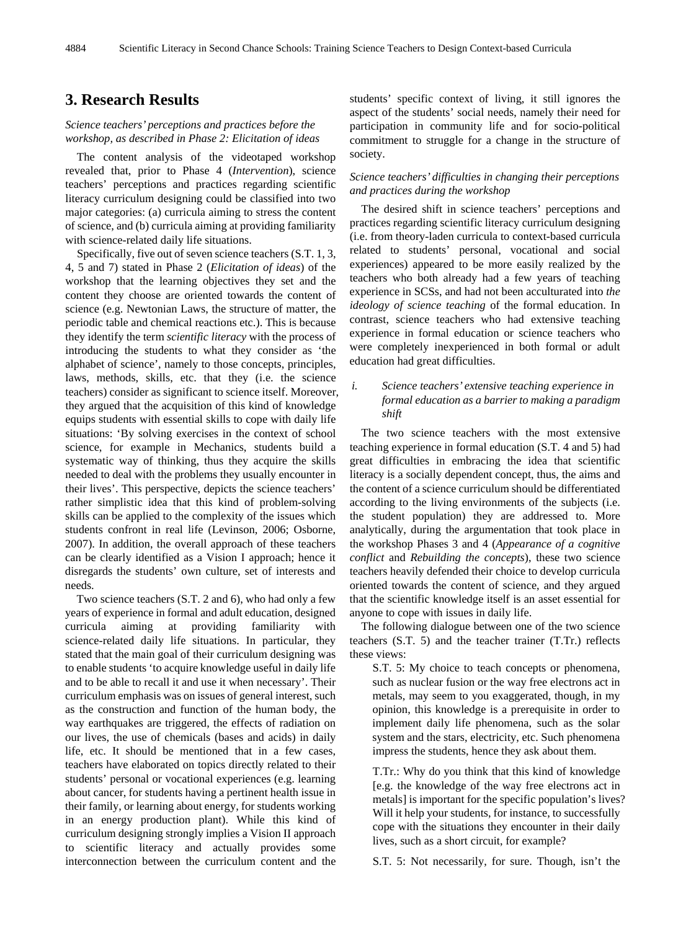# **3. Research Results**

## *Science teachers' perceptions and practices before the workshop, as described in Phase 2: Elicitation of ideas*

The content analysis of the videotaped workshop revealed that, prior to Phase 4 (*Intervention*), science teachers' perceptions and practices regarding scientific literacy curriculum designing could be classified into two major categories: (a) curricula aiming to stress the content of science, and (b) curricula aiming at providing familiarity with science-related daily life situations.

Specifically, five out of seven science teachers (S.T. 1, 3, 4, 5 and 7) stated in Phase 2 (*Elicitation of ideas*) of the workshop that the learning objectives they set and the content they choose are oriented towards the content of science (e.g. Newtonian Laws, the structure of matter, the periodic table and chemical reactions etc.). This is because they identify the term *scientific literacy* with the process of introducing the students to what they consider as 'the alphabet of science', namely to those concepts, principles, laws, methods, skills, etc. that they (i.e. the science teachers) consider as significant to science itself. Moreover, they argued that the acquisition of this kind of knowledge equips students with essential skills to cope with daily life situations: 'By solving exercises in the context of school science, for example in Mechanics, students build a systematic way of thinking, thus they acquire the skills needed to deal with the problems they usually encounter in their lives'. This perspective, depicts the science teachers' rather simplistic idea that this kind of problem-solving skills can be applied to the complexity of the issues which students confront in real life (Levinson, 2006; Osborne, 2007). In addition, the overall approach of these teachers can be clearly identified as a Vision I approach; hence it disregards the students' own culture, set of interests and needs.

Two science teachers (S.T. 2 and 6), who had only a few years of experience in formal and adult education, designed curricula aiming at providing familiarity with science-related daily life situations. In particular, they stated that the main goal of their curriculum designing was to enable students 'to acquire knowledge useful in daily life and to be able to recall it and use it when necessary'. Their curriculum emphasis was on issues of general interest, such as the construction and function of the human body, the way earthquakes are triggered, the effects of radiation on our lives, the use of chemicals (bases and acids) in daily life, etc. It should be mentioned that in a few cases, teachers have elaborated on topics directly related to their students' personal or vocational experiences (e.g. learning about cancer, for students having a pertinent health issue in their family, or learning about energy, for students working in an energy production plant). While this kind of curriculum designing strongly implies a Vision II approach to scientific literacy and actually provides some interconnection between the curriculum content and the students' specific context of living, it still ignores the aspect of the students' social needs, namely their need for participation in community life and for socio-political commitment to struggle for a change in the structure of society.

## *Science teachers' difficulties in changing their perceptions and practices during the workshop*

The desired shift in science teachers' perceptions and practices regarding scientific literacy curriculum designing (i.e. from theory-laden curricula to context-based curricula related to students' personal, vocational and social experiences) appeared to be more easily realized by the teachers who both already had a few years of teaching experience in SCSs, and had not been acculturated into *the ideology of science teaching* of the formal education. In contrast, science teachers who had extensive teaching experience in formal education or science teachers who were completely inexperienced in both formal or adult education had great difficulties.

# *i. Science teachers' extensive teaching experience in formal education as a barrier to making a paradigm shift*

The two science teachers with the most extensive teaching experience in formal education (S.T. 4 and 5) had great difficulties in embracing the idea that scientific literacy is a socially dependent concept, thus, the aims and the content of a science curriculum should be differentiated according to the living environments of the subjects (i.e. the student population) they are addressed to. More analytically, during the argumentation that took place in the workshop Phases 3 and 4 (*Appearance of a cognitive conflict* and *Rebuilding the concepts*), these two science teachers heavily defended their choice to develop curricula oriented towards the content of science, and they argued that the scientific knowledge itself is an asset essential for anyone to cope with issues in daily life.

The following dialogue between one of the two science teachers (S.T. 5) and the teacher trainer (T.Tr.) reflects these views:

S.T. 5: My choice to teach concepts or phenomena, such as nuclear fusion or the way free electrons act in metals, may seem to you exaggerated, though, in my opinion, this knowledge is a prerequisite in order to implement daily life phenomena, such as the solar system and the stars, electricity, etc. Such phenomena impress the students, hence they ask about them.

T.Tr.: Why do you think that this kind of knowledge [e.g. the knowledge of the way free electrons act in metals] is important for the specific population's lives? Will it help your students, for instance, to successfully cope with the situations they encounter in their daily lives, such as a short circuit, for example?

S.T. 5: Not necessarily, for sure. Though, isn't the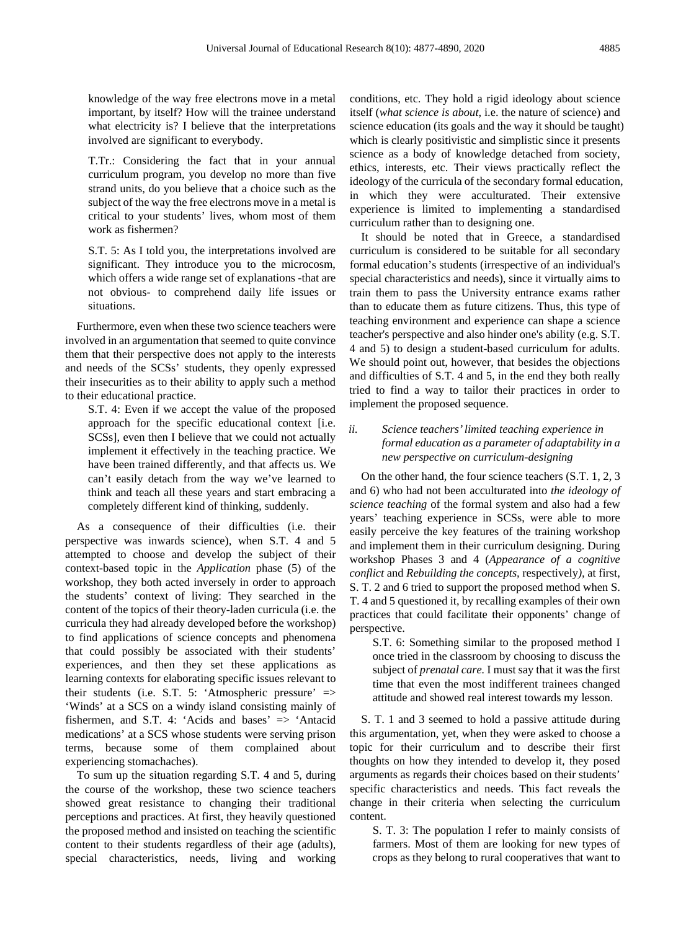knowledge of the way free electrons move in a metal important, by itself? How will the trainee understand what electricity is? I believe that the interpretations involved are significant to everybody.

T.Tr.: Considering the fact that in your annual curriculum program, you develop no more than five strand units, do you believe that a choice such as the subject of the way the free electrons move in a metal is critical to your students' lives, whom most of them work as fishermen?

S.T. 5: As I told you, the interpretations involved are significant. They introduce you to the microcosm, which offers a wide range set of explanations -that are not obvious- to comprehend daily life issues or situations.

Furthermore, even when these two science teachers were involved in an argumentation that seemed to quite convince them that their perspective does not apply to the interests and needs of the SCSs' students, they openly expressed their insecurities as to their ability to apply such a method to their educational practice.

S.T. 4: Even if we accept the value of the proposed approach for the specific educational context [i.e. SCSs], even then I believe that we could not actually implement it effectively in the teaching practice. We have been trained differently, and that affects us. We can't easily detach from the way we've learned to think and teach all these years and start embracing a completely different kind of thinking, suddenly.

As a consequence of their difficulties (i.e. their perspective was inwards science), when S.T. 4 and 5 attempted to choose and develop the subject of their context-based topic in the *Application* phase (5) of the workshop, they both acted inversely in order to approach the students' context of living: They searched in the content of the topics of their theory-laden curricula (i.e. the curricula they had already developed before the workshop) to find applications of science concepts and phenomena that could possibly be associated with their students' experiences, and then they set these applications as learning contexts for elaborating specific issues relevant to their students (i.e. S.T. 5: 'Atmospheric pressure' => 'Winds' at a SCS on a windy island consisting mainly of fishermen, and S.T. 4: 'Acids and bases' => 'Antacid medications' at a SCS whose students were serving prison terms, because some of them complained about experiencing stomachaches).

To sum up the situation regarding S.T. 4 and 5, during the course of the workshop, these two science teachers showed great resistance to changing their traditional perceptions and practices. At first, they heavily questioned the proposed method and insisted on teaching the scientific content to their students regardless of their age (adults), special characteristics, needs, living and working

conditions, etc. They hold a rigid ideology about science itself (*what science is about*, i.e. the nature of science) and science education (its goals and the way it should be taught) which is clearly positivistic and simplistic since it presents science as a body of knowledge detached from society, ethics, interests, etc. Their views practically reflect the ideology of the curricula of the secondary formal education, in which they were acculturated. Their extensive experience is limited to implementing a standardised curriculum rather than to designing one.

It should be noted that in Greece, a standardised curriculum is considered to be suitable for all secondary formal education's students (irrespective of an individual's special characteristics and needs), since it virtually aims to train them to pass the University entrance exams rather than to educate them as future citizens. Thus, this type of teaching environment and experience can shape a science teacher's perspective and also hinder one's ability (e.g. S.T. 4 and 5) to design a student-based curriculum for adults. We should point out, however, that besides the objections and difficulties of S.T. 4 and 5, in the end they both really tried to find a way to tailor their practices in order to implement the proposed sequence.

# *ii. Science teachers'limited teaching experience in formal education as a parameter of adaptability in a new perspective on curriculum-designing*

On the other hand, the four science teachers (S.T. 1, 2, 3 and 6) who had not been acculturated into *the ideology of science teaching* of the formal system and also had a few years' teaching experience in SCSs, were able to more easily perceive the key features of the training workshop and implement them in their curriculum designing. During workshop Phases 3 and 4 (*Appearance of a cognitive conflict* and *Rebuilding the concepts,* respectively*),* at first, S. T. 2 and 6 tried to support the proposed method when S. T. 4 and 5 questioned it, by recalling examples of their own practices that could facilitate their opponents' change of perspective.

S.T. 6: Something similar to the proposed method I once tried in the classroom by choosing to discuss the subject of *prenatal care.* I must say that it was the first time that even the most indifferent trainees changed attitude and showed real interest towards my lesson.

S. T. 1 and 3 seemed to hold a passive attitude during this argumentation, yet, when they were asked to choose a topic for their curriculum and to describe their first thoughts on how they intended to develop it, they posed arguments as regards their choices based on their students' specific characteristics and needs. This fact reveals the change in their criteria when selecting the curriculum content.

S. T. 3: The population I refer to mainly consists of farmers. Most of them are looking for new types of crops as they belong to rural cooperatives that want to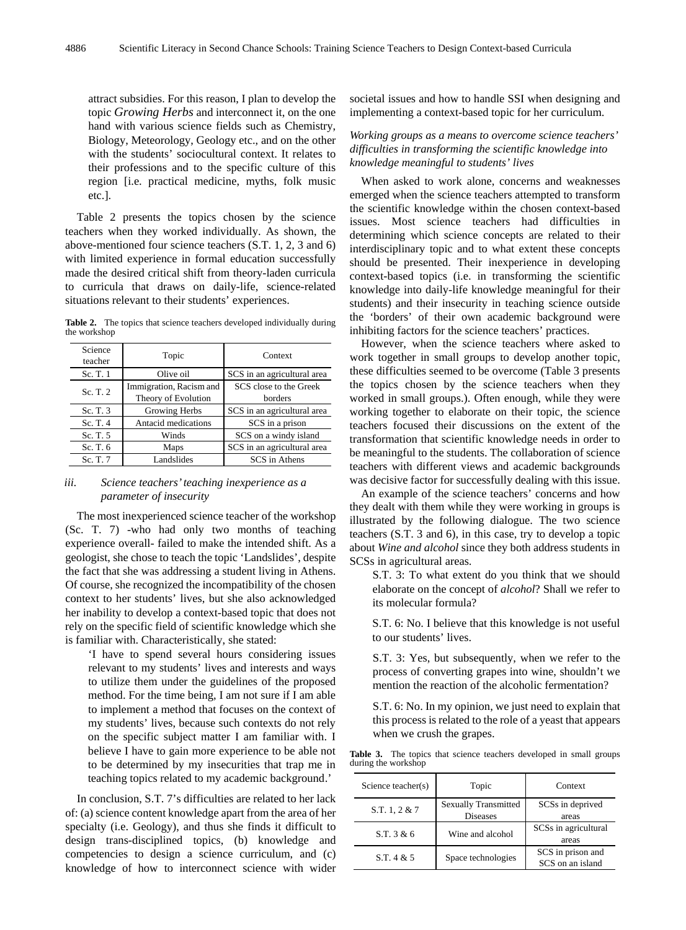attract subsidies. For this reason, I plan to develop the topic *Growing Herbs* and interconnect it, on the one hand with various science fields such as Chemistry, Biology, Meteorology, Geology etc., and on the other with the students' sociocultural context. It relates to their professions and to the specific culture of this region [i.e. practical medicine, myths, folk music etc.].

Table 2 presents the topics chosen by the science teachers when they worked individually. As shown, the above-mentioned four science teachers (S.T. 1, 2, 3 and 6) with limited experience in formal education successfully made the desired critical shift from theory-laden curricula to curricula that draws on daily-life, science-related situations relevant to their students' experiences.

**Table 2.** The topics that science teachers developed individually during the workshop

| Science<br>teacher | Topic                                          | Context                           |
|--------------------|------------------------------------------------|-----------------------------------|
| Sc. T. 1           | Olive oil                                      | SCS in an agricultural area       |
| Sc. T. 2           | Immigration, Racism and<br>Theory of Evolution | SCS close to the Greek<br>borders |
| Sc. T. 3           | Growing Herbs                                  | SCS in an agricultural area       |
| Sc. T. $4$         | Antacid medications                            | SCS in a prison                   |
| Sc. T. 5           | Winds                                          | SCS on a windy island             |
| Sc. T. 6           | Maps                                           | SCS in an agricultural area       |
| Sc. T. 7           | Landslides                                     | SCS in Athens                     |

#### *iii. Science teachers'teaching inexperience as a parameter of insecurity*

The most inexperienced science teacher of the workshop (Sc. T. 7) -who had only two months of teaching experience overall- failed to make the intended shift. As a geologist, she chose to teach the topic 'Landslides', despite the fact that she was addressing a student living in Athens. Of course, she recognized the incompatibility of the chosen context to her students' lives, but she also acknowledged her inability to develop a context-based topic that does not rely on the specific field of scientific knowledge which she is familiar with. Characteristically, she stated:

'I have to spend several hours considering issues relevant to my students' lives and interests and ways to utilize them under the guidelines of the proposed method. For the time being, I am not sure if I am able to implement a method that focuses on the context of my students' lives, because such contexts do not rely on the specific subject matter I am familiar with. I believe I have to gain more experience to be able not to be determined by my insecurities that trap me in teaching topics related to my academic background.'

In conclusion, S.T. 7's difficulties are related to her lack of: (a) science content knowledge apart from the area of her specialty (i.e. Geology), and thus she finds it difficult to design trans-disciplined topics, (b) knowledge and competencies to design a science curriculum, and (c) knowledge of how to interconnect science with wider societal issues and how to handle SSI when designing and implementing a context-based topic for her curriculum.

## *Working groups as a means to overcome science teachers' difficulties in transforming the scientific knowledge into knowledge meaningful to students' lives*

When asked to work alone, concerns and weaknesses emerged when the science teachers attempted to transform the scientific knowledge within the chosen context-based issues. Most science teachers had difficulties in determining which science concepts are related to their interdisciplinary topic and to what extent these concepts should be presented. Their inexperience in developing context-based topics (i.e. in transforming the scientific knowledge into daily-life knowledge meaningful for their students) and their insecurity in teaching science outside the 'borders' of their own academic background were inhibiting factors for the science teachers' practices.

However, when the science teachers where asked to work together in small groups to develop another topic, these difficulties seemed to be overcome (Table 3 presents the topics chosen by the science teachers when they worked in small groups.). Often enough, while they were working together to elaborate on their topic, the science teachers focused their discussions on the extent of the transformation that scientific knowledge needs in order to be meaningful to the students. The collaboration of science teachers with different views and academic backgrounds was decisive factor for successfully dealing with this issue.

An example of the science teachers' concerns and how they dealt with them while they were working in groups is illustrated by the following dialogue. The two science teachers (S.T. 3 and 6), in this case, try to develop a topic about *Wine and alcohol* since they both address students in SCSs in agricultural areas.

S.T. 3: To what extent do you think that we should elaborate on the concept of *alcohol*? Shall we refer to its molecular formula?

S.T. 6: No. I believe that this knowledge is not useful to our students' lives.

S.T. 3: Yes, but subsequently, when we refer to the process of converting grapes into wine, shouldn't we mention the reaction of the alcoholic fermentation?

S.T. 6: No. In my opinion, we just need to explain that this process is related to the role of a yeast that appears when we crush the grapes.

**Table 3.** The topics that science teachers developed in small groups during the workshop

| Science teacher(s) | Topic                                          | Context                               |
|--------------------|------------------------------------------------|---------------------------------------|
| S.T. $1, 2 \& 7$   | <b>Sexually Transmitted</b><br><b>Diseases</b> | SCSs in deprived<br>areas             |
| S.T. 3 & 6         | Wine and alcohol                               | SCSs in agricultural<br>areas         |
| S.T.4 & 5          | Space technologies                             | SCS in prison and<br>SCS on an island |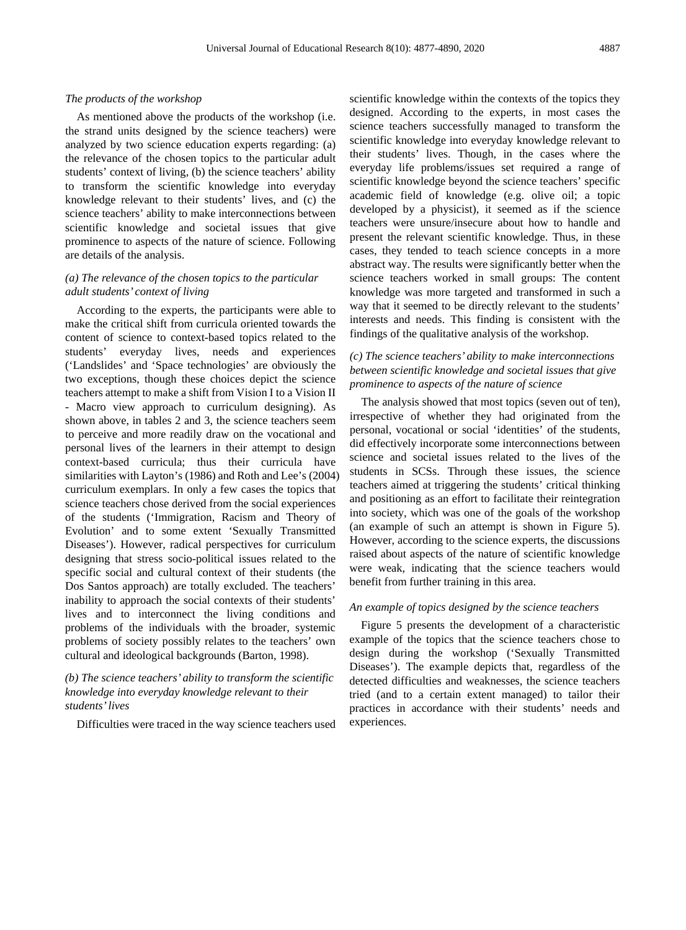#### *The products of the workshop*

As mentioned above the products of the workshop (i.e. the strand units designed by the science teachers) were analyzed by two science education experts regarding: (a) the relevance of the chosen topics to the particular adult students' context of living, (b) the science teachers' ability to transform the scientific knowledge into everyday knowledge relevant to their students' lives, and (c) the science teachers' ability to make interconnections between scientific knowledge and societal issues that give prominence to aspects of the nature of science. Following are details of the analysis.

#### *(a) The relevance of the chosen topics to the particular adult students' context of living*

According to the experts, the participants were able to make the critical shift from curricula oriented towards the content of science to context-based topics related to the students' everyday lives, needs and experiences ('Landslides' and 'Space technologies' are obviously the two exceptions, though these choices depict the science teachers attempt to make a shift from Vision I to a Vision II - Macro view approach to curriculum designing). As shown above, in tables 2 and 3, the science teachers seem to perceive and more readily draw on the vocational and personal lives of the learners in their attempt to design context-based curricula; thus their curricula have similarities with Layton's (1986) and Roth and Lee's (2004) curriculum exemplars. In only a few cases the topics that science teachers chose derived from the social experiences of the students ('Immigration, Racism and Theory of Evolution' and to some extent 'Sexually Transmitted Diseases'). However, radical perspectives for curriculum designing that stress socio-political issues related to the specific social and cultural context of their students (the Dos Santos approach) are totally excluded. The teachers' inability to approach the social contexts of their students' lives and to interconnect the living conditions and problems of the individuals with the broader, systemic problems of society possibly relates to the teachers' own cultural and ideological backgrounds (Barton, 1998).

## *(b) The science teachers' ability to transform the scientific knowledge into everyday knowledge relevant to their students'lives*

Difficulties were traced in the way science teachers used

scientific knowledge within the contexts of the topics they designed. According to the experts, in most cases the science teachers successfully managed to transform the scientific knowledge into everyday knowledge relevant to their students' lives. Though, in the cases where the everyday life problems/issues set required a range of scientific knowledge beyond the science teachers' specific academic field of knowledge (e.g. olive oil; a topic developed by a physicist), it seemed as if the science teachers were unsure/insecure about how to handle and present the relevant scientific knowledge. Thus, in these cases, they tended to teach science concepts in a more abstract way. The results were significantly better when the science teachers worked in small groups: The content knowledge was more targeted and transformed in such a way that it seemed to be directly relevant to the students' interests and needs. This finding is consistent with the findings of the qualitative analysis of the workshop.

## *(c) The science teachers' ability to make interconnections between scientific knowledge and societal issues that give prominence to aspects of the nature of science*

The analysis showed that most topics (seven out of ten), irrespective of whether they had originated from the personal, vocational or social 'identities' of the students, did effectively incorporate some interconnections between science and societal issues related to the lives of the students in SCSs. Through these issues, the science teachers aimed at triggering the students' critical thinking and positioning as an effort to facilitate their reintegration into society, which was one of the goals of the workshop (an example of such an attempt is shown in Figure 5). However, according to the science experts, the discussions raised about aspects of the nature of scientific knowledge were weak, indicating that the science teachers would benefit from further training in this area.

## *An example of topics designed by the science teachers*

Figure 5 presents the development of a characteristic example of the topics that the science teachers chose to design during the workshop ('Sexually Transmitted Diseases'). The example depicts that, regardless of the detected difficulties and weaknesses, the science teachers tried (and to a certain extent managed) to tailor their practices in accordance with their students' needs and experiences.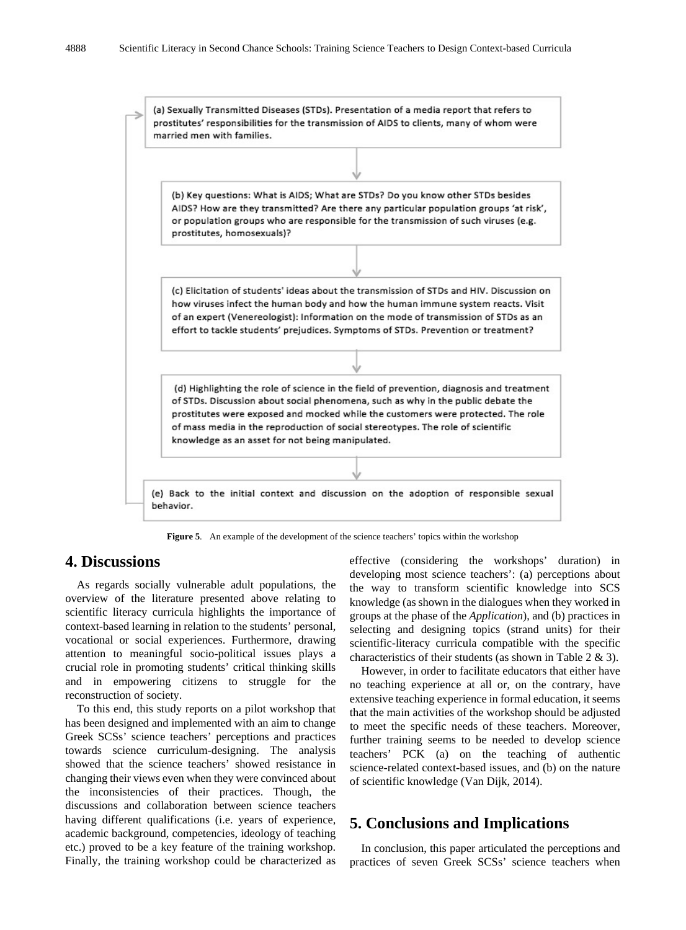

**Figure 5**. An example of the development of the science teachers' topics within the workshop

# **4. Discussions**

As regards socially vulnerable adult populations, the overview of the literature presented above relating to scientific literacy curricula highlights the importance of context-based learning in relation to the students' personal, vocational or social experiences. Furthermore, drawing attention to meaningful socio-political issues plays a crucial role in promoting students' critical thinking skills and in empowering citizens to struggle for the reconstruction of society.

To this end, this study reports on a pilot workshop that has been designed and implemented with an aim to change Greek SCSs' science teachers' perceptions and practices towards science curriculum-designing. The analysis showed that the science teachers' showed resistance in changing their views even when they were convinced about the inconsistencies of their practices. Though, the discussions and collaboration between science teachers having different qualifications (i.e. years of experience, academic background, competencies, ideology of teaching etc.) proved to be a key feature of the training workshop. Finally, the training workshop could be characterized as

effective (considering the workshops' duration) in developing most science teachers': (a) perceptions about the way to transform scientific knowledge into SCS knowledge (as shown in the dialogues when they worked in groups at the phase of the *Application*), and (b) practices in selecting and designing topics (strand units) for their scientific-literacy curricula compatible with the specific characteristics of their students (as shown in Table 2 & 3).

However, in order to facilitate educators that either have no teaching experience at all or, on the contrary, have extensive teaching experience in formal education, it seems that the main activities of the workshop should be adjusted to meet the specific needs of these teachers. Moreover, further training seems to be needed to develop science teachers' PCK (a) on the teaching of authentic science-related context-based issues, and (b) on the nature of scientific knowledge (Van Dijk, 2014).

# **5. Conclusions and Implications**

In conclusion, this paper articulated the perceptions and practices of seven Greek SCSs' science teachers when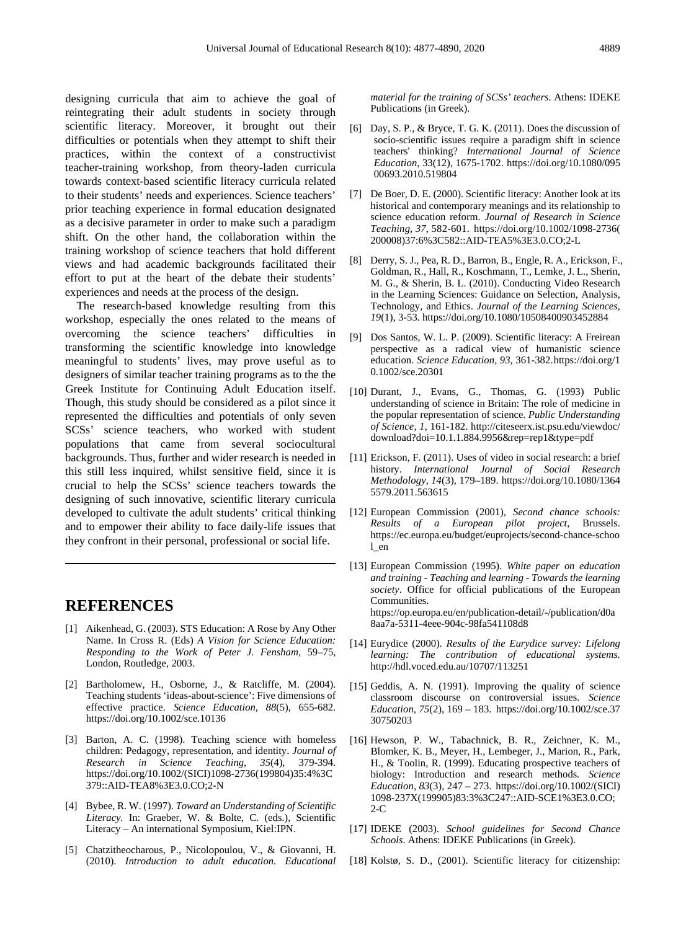designing curricula that aim to achieve the goal of reintegrating their adult students in society through scientific literacy. Moreover, it brought out their difficulties or potentials when they attempt to shift their practices, within the context of a constructivist teacher-training workshop, from theory-laden curricula towards context-based scientific literacy curricula related to their students' needs and experiences. Science teachers' prior teaching experience in formal education designated as a decisive parameter in order to make such a paradigm shift. On the other hand, the collaboration within the training workshop of science teachers that hold different views and had academic backgrounds facilitated their effort to put at the heart of the debate their students' experiences and needs at the process of the design.

The research-based knowledge resulting from this workshop, especially the ones related to the means of overcoming the science teachers' difficulties in transforming the scientific knowledge into knowledge meaningful to students' lives, may prove useful as to designers of similar teacher training programs as to the the Greek Institute for Continuing Adult Education itself. Though, this study should be considered as a pilot since it represented the difficulties and potentials of only seven SCSs' science teachers, who worked with student populations that came from several sociocultural backgrounds. Thus, further and wider research is needed in this still less inquired, whilst sensitive field, since it is crucial to help the SCSs' science teachers towards the designing of such innovative, scientific literary curricula developed to cultivate the adult students' critical thinking and to empower their ability to face daily-life issues that they confront in their personal, professional or social life.

# **REFERENCES**

- [1] Aikenhead, G. (2003). STS Education: A Rose by Any Other Name. In Cross R. (Eds) *A Vision for Science Education: Responding to the Work of Peter J. Fensham,* 59–75, London, Routledge, 2003.
- [2] Bartholomew, H., Osborne, J., & Ratcliffe, M. (2004). Teaching students 'ideas-about-science': Five dimensions of effective practice. *Science Education, 88*(5), 655-682. https://doi.org/10.1002/sce.10136
- [3] Barton, A. C. (1998). Teaching science with homeless children: Pedagogy, representation, and identity. *Journal of Research in Science Teaching, 35*(4), 379-394. https://doi.org/10.1002/(SICI)1098-2736(199804)35:4%3C 379::AID-TEA8%3E3.0.CO;2-N
- [4] Bybee, R. W. (1997). *Toward an Understanding of Scientific Literacy.* In: Graeber, W. & Bolte, C. (eds.), Scientific Literacy – An international Symposium, Kiel:IPN.
- [5] Chatzitheocharous, P., Nicolopoulou, V., & Giovanni, H. (2010). *Introduction to adult education. Educational*

*material for the training of SCSs' teachers*. Athens: IDEKE Publications (in Greek).

- [6] Day, S. P., & Bryce, T. G. K. (2011). Does the discussion of socio-scientific issues require a paradigm shift in science teachers' thinking? *International Journal of Science Education*, 33(12), 1675-1702. https://doi.org/10.1080/095 00693.2010.519804
- [7] De Boer, D. E. (2000). Scientific literacy: Another look at its historical and contemporary meanings and its relationship to science education reform. *Journal of Research in Science Teaching, 37*, 582-601. https://doi.org/10.1002/1098-2736( 200008)37:6%3C582::AID-TEA5%3E3.0.CO;2-L
- [8] Derry, S. J., Pea, R. D., Barron, B., Engle, R. A., Erickson, F., Goldman, R., Hall, R., Koschmann, T., Lemke, J. L., Sherin, M. G., & Sherin, B. L. (2010). Conducting Video Research in the Learning Sciences: Guidance on Selection, Analysis, Technology, and Ethics. *Journal of the Learning Sciences, 19*(1), 3-53. https://doi.org/10.1080/10508400903452884
- [9] Dos Santos, W. L. P. (2009). Scientific literacy: A Freirean perspective as a radical view of humanistic science education. *Science Education, 93*, 361-382.https://doi.org/1 0.1002/sce.20301
- [10] Durant, J., Evans, G., Thomas, G. (1993) Public understanding of science in Britain: The role of medicine in the popular representation of science. *Public Understanding of Science, 1*, 161-182. http://citeseerx.ist.psu.edu/viewdoc/ download?doi=10.1.1.884.9956&rep=rep1&type=pdf
- [11] Erickson, F. (2011). Uses of video in social research: a brief history. *International Journal of Social Research Methodology, 14*(3), 179–189. https://doi.org/10.1080/1364 5579.2011.563615
- [12] European Commission (2001), *Second chance schools: Results of a European pilot project*, Brussels. https://ec.europa.eu/budget/euprojects/second-chance-schoo l\_en
- [13] European Commission (1995). *White paper on education and training - Teaching and learning - Towards the learning society*. Office for official publications of the European Communities. https://op.europa.eu/en/publication-detail/-/publication/d0a 8aa7a-5311-4eee-904c-98fa541108d8
- [14] Eurydice (2000). *Results of the Eurydice survey: Lifelong learning: The contribution of educational systems.* http://hdl.voced.edu.au/10707/113251
- [15] Geddis, A. N. (1991). Improving the quality of science classroom discourse on controversial issues. *Science Education, 75*(2), 169 – 183. https://doi.org/10.1002/sce.37 30750203
- [16] Hewson, P. W., Tabachnick, B. R., Zeichner, K. M., Blomker, K. B., Meyer, H., Lembeger, J., Marion, R., Park, H., & Toolin, R. (1999). Educating prospective teachers of biology: Introduction and research methods*. Science Education, 83*(3), 247 – 273. https://doi.org/10.1002/(SICI) 1098-237X(199905)83:3%3C247::AID-SCE1%3E3.0.CO; 2-C
- [17] IDEKE (2003). *School guidelines for Second Chance Schools*. Athens: IDEKE Publications (in Greek).
- [18] Kolstø, S. D., (2001). Scientific literacy for citizenship: